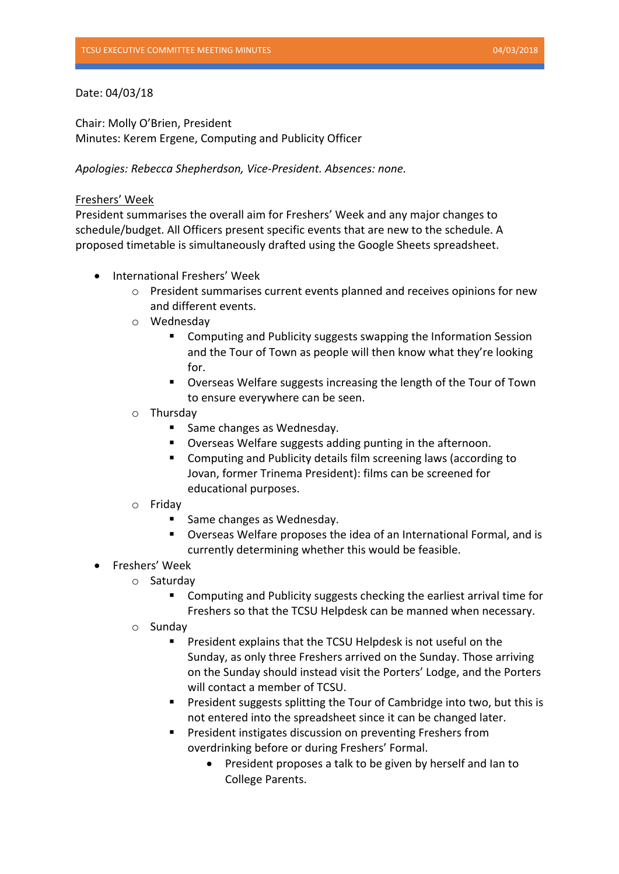## Date: 04/03/18

Chair: Molly O'Brien, President Minutes: Kerem Ergene, Computing and Publicity Officer

*Apologies: Rebecca Shepherdson, Vice-President. Absences: none.*

## Freshers' Week

President summarises the overall aim for Freshers' Week and any major changes to schedule/budget. All Officers present specific events that are new to the schedule. A proposed timetable is simultaneously drafted using the Google Sheets spreadsheet.

- International Freshers' Week
	- $\circ$  President summarises current events planned and receives opinions for new and different events.
	- o Wednesday
		- Computing and Publicity suggests swapping the Information Session and the Tour of Town as people will then know what they're looking for.
		- Overseas Welfare suggests increasing the length of the Tour of Town to ensure everywhere can be seen.
	- o Thursday
		- Same changes as Wednesday.
		- Overseas Welfare suggests adding punting in the afternoon.
		- Computing and Publicity details film screening laws (according to Jovan, former Trinema President): films can be screened for educational purposes.
	- o Friday
		- Same changes as Wednesday.
		- Overseas Welfare proposes the idea of an International Formal, and is currently determining whether this would be feasible.
- Freshers' Week
	- o Saturday
		- Computing and Publicity suggests checking the earliest arrival time for Freshers so that the TCSU Helpdesk can be manned when necessary.
	- o Sunday
		- President explains that the TCSU Helpdesk is not useful on the Sunday, as only three Freshers arrived on the Sunday. Those arriving on the Sunday should instead visit the Porters' Lodge, and the Porters will contact a member of TCSU.
		- President suggests splitting the Tour of Cambridge into two, but this is not entered into the spreadsheet since it can be changed later.
		- President instigates discussion on preventing Freshers from overdrinking before or during Freshers' Formal.
			- President proposes a talk to be given by herself and lan to College Parents.